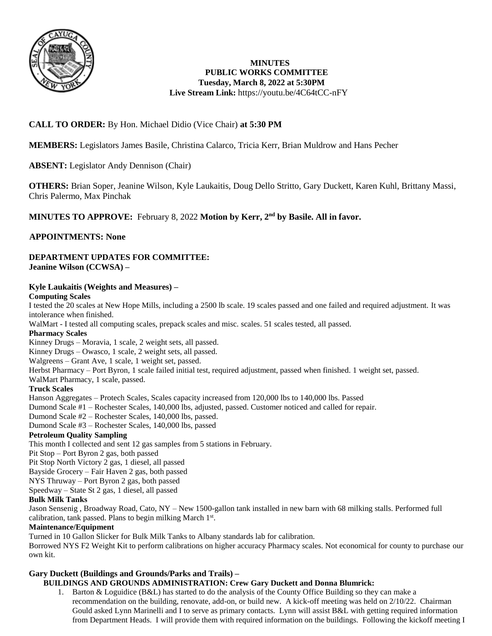

### **MINUTES PUBLIC WORKS COMMITTEE Tuesday, March 8, 2022 at 5:30PM Live Stream Link:** <https://youtu.be/4C64tCC-nFY>

# **CALL TO ORDER:** By Hon. Michael Didio (Vice Chair) **at 5:30 PM**

**MEMBERS:** Legislators James Basile, Christina Calarco, Tricia Kerr, Brian Muldrow and Hans Pecher

**ABSENT:** Legislator Andy Dennison (Chair)

**OTHERS:** Brian Soper, Jeanine Wilson, Kyle Laukaitis, Doug Dello Stritto, Gary Duckett, Karen Kuhl, Brittany Massi, Chris Palermo, Max Pinchak

**MINUTES TO APPROVE:** February 8, 2022 **Motion by Kerr, 2nd by Basile. All in favor.**

 **APPOINTMENTS: None** 

**DEPARTMENT UPDATES FOR COMMITTEE: Jeanine Wilson (CCWSA) –**

### **Kyle Laukaitis (Weights and Measures) –**

### **Computing Scales**

I tested the 20 scales at New Hope Mills, including a 2500 lb scale. 19 scales passed and one failed and required adjustment. It was intolerance when finished.

WalMart - I tested all computing scales, prepack scales and misc. scales. 51 scales tested, all passed.

### **Pharmacy Scales**

Kinney Drugs – Moravia, 1 scale, 2 weight sets, all passed.

Kinney Drugs – Owasco, 1 scale, 2 weight sets, all passed.

Walgreens – Grant Ave, 1 scale, 1 weight set, passed.

Herbst Pharmacy – Port Byron, 1 scale failed initial test, required adjustment, passed when finished. 1 weight set, passed.

WalMart Pharmacy, 1 scale, passed.

### **Truck Scales**

Hanson Aggregates – Protech Scales, Scales capacity increased from 120,000 lbs to 140,000 lbs. Passed

Dumond Scale #1 – Rochester Scales, 140,000 lbs, adjusted, passed. Customer noticed and called for repair.

Dumond Scale #2 – Rochester Scales, 140,000 lbs, passed.

Dumond Scale #3 – Rochester Scales, 140,000 lbs, passed

### **Petroleum Quality Sampling**

This month I collected and sent 12 gas samples from 5 stations in February.

Pit Stop – Port Byron 2 gas, both passed

Pit Stop North Victory 2 gas, 1 diesel, all passed

Bayside Grocery – Fair Haven 2 gas, both passed

NYS Thruway – Port Byron 2 gas, both passed

Speedway – State St 2 gas, 1 diesel, all passed

### **Bulk Milk Tanks**

Jason Sensenig , Broadway Road, Cato, NY – New 1500-gallon tank installed in new barn with 68 milking stalls. Performed full calibration, tank passed. Plans to begin milking March 1st.

### **Maintenance/Equipment**

Turned in 10 Gallon Slicker for Bulk Milk Tanks to Albany standards lab for calibration.

Borrowed NYS F2 Weight Kit to perform calibrations on higher accuracy Pharmacy scales. Not economical for county to purchase our own kit.

### **Gary Duckett (Buildings and Grounds/Parks and Trails) –**

### **BUILDINGS AND GROUNDS ADMINISTRATION: Crew Gary Duckett and Donna Blumrick:**

1. Barton & Loguidice (B&L) has started to do the analysis of the County Office Building so they can make a recommendation on the building, renovate, add-on, or build new. A kick-off meeting was held on 2/10/22. Chairman Gould asked Lynn Marinelli and I to serve as primary contacts. Lynn will assist B&L with getting required information from Department Heads. I will provide them with required information on the buildings. Following the kickoff meeting I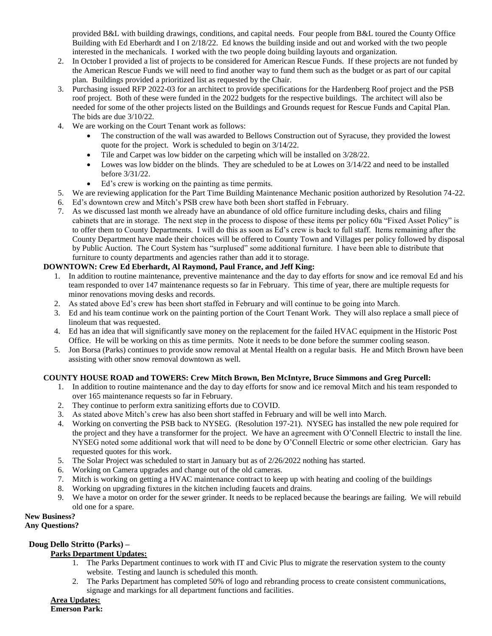provided B&L with building drawings, conditions, and capital needs. Four people from B&L toured the County Office Building with Ed Eberhardt and I on 2/18/22. Ed knows the building inside and out and worked with the two people interested in the mechanicals. I worked with the two people doing building layouts and organization.

- 2. In October I provided a list of projects to be considered for American Rescue Funds. If these projects are not funded by the American Rescue Funds we will need to find another way to fund them such as the budget or as part of our capital plan. Buildings provided a prioritized list as requested by the Chair.
- 3. Purchasing issued RFP 2022-03 for an architect to provide specifications for the Hardenberg Roof project and the PSB roof project. Both of these were funded in the 2022 budgets for the respective buildings. The architect will also be needed for some of the other projects listed on the Buildings and Grounds request for Rescue Funds and Capital Plan. The bids are due 3/10/22.
- 4. We are working on the Court Tenant work as follows:
	- The construction of the wall was awarded to Bellows Construction out of Syracuse, they provided the lowest quote for the project. Work is scheduled to begin on 3/14/22.
	- Tile and Carpet was low bidder on the carpeting which will be installed on  $3/28/22$ .
	- $\bullet$  Lowes was low bidder on the blinds. They are scheduled to be at Lowes on  $3/14/22$  and need to be installed before 3/31/22.
	- Ed's crew is working on the painting as time permits.
- 5. We are reviewing application for the Part Time Building Maintenance Mechanic position authorized by Resolution 74-22.
- 6. Ed's downtown crew and Mitch's PSB crew have both been short staffed in February.
- 7. As we discussed last month we already have an abundance of old office furniture including desks, chairs and filing cabinets that are in storage. The next step in the process to dispose of these items per policy 60a "Fixed Asset Policy" is to offer them to County Departments. I will do this as soon as Ed's crew is back to full staff. Items remaining after the County Department have made their choices will be offered to County Town and Villages per policy followed by disposal by Public Auction. The Court System has "surplused" some additional furniture. I have been able to distribute that furniture to county departments and agencies rather than add it to storage.

### **DOWNTOWN: Crew Ed Eberhardt, Al Raymond, Paul France, and Jeff King:**

- 1. In addition to routine maintenance, preventive maintenance and the day to day efforts for snow and ice removal Ed and his team responded to over 147 maintenance requests so far in February. This time of year, there are multiple requests for minor renovations moving desks and records.
- 2. As stated above Ed's crew has been short staffed in February and will continue to be going into March.
- 3. Ed and his team continue work on the painting portion of the Court Tenant Work. They will also replace a small piece of linoleum that was requested.
- 4. Ed has an idea that will significantly save money on the replacement for the failed HVAC equipment in the Historic Post Office. He will be working on this as time permits. Note it needs to be done before the summer cooling season.
- 5. Jon Borsa (Parks) continues to provide snow removal at Mental Health on a regular basis. He and Mitch Brown have been assisting with other snow removal downtown as well.

### **COUNTY HOUSE ROAD and TOWERS: Crew Mitch Brown, Ben McIntyre, Bruce Simmons and Greg Purcell:**

- 1. In addition to routine maintenance and the day to day efforts for snow and ice removal Mitch and his team responded to over 165 maintenance requests so far in February.
- 2. They continue to perform extra sanitizing efforts due to COVID.
- 3. As stated above Mitch's crew has also been short staffed in February and will be well into March.
- 4. Working on converting the PSB back to NYSEG. (Resolution 197-21). NYSEG has installed the new pole required for the project and they have a transformer for the project. We have an agreement with O'Connell Electric to install the line. NYSEG noted some additional work that will need to be done by O'Connell Electric or some other electrician. Gary has requested quotes for this work.
- 5. The Solar Project was scheduled to start in January but as of 2/26/2022 nothing has started.
- 6. Working on Camera upgrades and change out of the old cameras.
- 7. Mitch is working on getting a HVAC maintenance contract to keep up with heating and cooling of the buildings
- 8. Working on upgrading fixtures in the kitchen including faucets and drains.
- 9. We have a motor on order for the sewer grinder. It needs to be replaced because the bearings are failing. We will rebuild old one for a spare.

### **New Business? Any Questions?**

# **Doug Dello Stritto (Parks) –**

## **Parks Department Updates:**

- 1. The Parks Department continues to work with IT and Civic Plus to migrate the reservation system to the county website. Testing and launch is scheduled this month.
- 2. The Parks Department has completed 50% of logo and rebranding process to create consistent communications, signage and markings for all department functions and facilities.